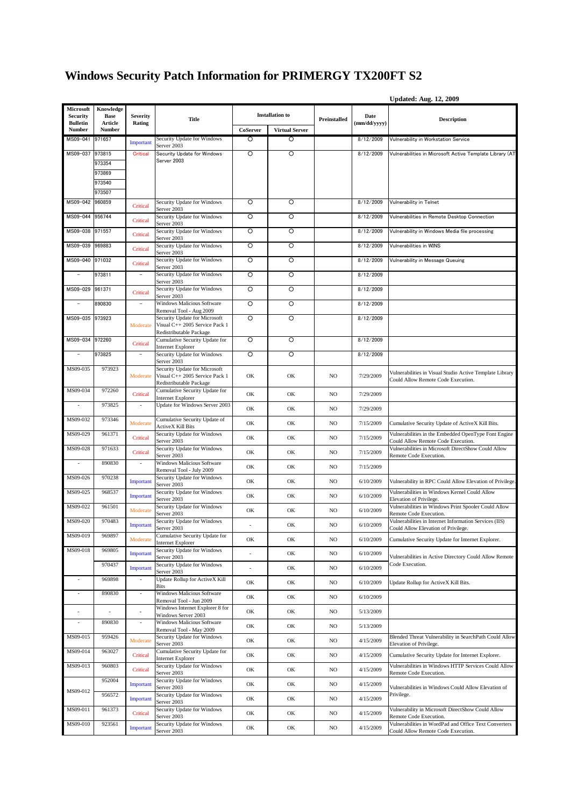## **Windows Security Patch Information for PRIMERGY TX200FT S2**

|                                                 |                                     |                                      |                                                                 |                          |                        |              |                      | <b>Updated: Aug. 12, 2009</b>                                                                 |
|-------------------------------------------------|-------------------------------------|--------------------------------------|-----------------------------------------------------------------|--------------------------|------------------------|--------------|----------------------|-----------------------------------------------------------------------------------------------|
| Microsoft<br><b>Security</b><br><b>Bulletin</b> | Knowledge<br><b>Base</b><br>Article | Severity                             | <b>Title</b>                                                    |                          | <b>Installation to</b> | Preinstalled | Date<br>(mm/dd/yyyy) | <b>Description</b>                                                                            |
| <b>Number</b>                                   | <b>Number</b>                       | Rating                               |                                                                 | CoServer                 | <b>Virtual Server</b>  |              |                      |                                                                                               |
| MS09-041 971657                                 |                                     | Important                            | Security Update for Windows<br>Server 2003                      | O                        | Ο                      |              | 8/12/2009            | Vulnerability in Workstation Service                                                          |
| MS09-037                                        | 973815                              | <b>Critical</b>                      | Security Update for Windows                                     | O                        | $\circ$                |              | 8/12/2009            | Vulnerabilities in Microsoft Active Template Library (AT                                      |
|                                                 | 973354                              |                                      | Server 2003                                                     |                          |                        |              |                      |                                                                                               |
|                                                 | 973869                              |                                      |                                                                 |                          |                        |              |                      |                                                                                               |
|                                                 | 973540<br>973507                    |                                      |                                                                 |                          |                        |              |                      |                                                                                               |
| MS09-042                                        | 960859                              | Critical                             | Security Update for Windows                                     | O                        | O                      |              | 8/12/2009            | Vulnerability in Telnet                                                                       |
| MS09-044 956744                                 |                                     | Critical                             | Server 2003<br>Security Update for Windows                      | O                        | O                      |              | 8/12/2009            | Vulnerabilities in Remote Desktop Connection                                                  |
| MS09-038 971557                                 |                                     | Critical                             | Server 2003<br>Security Update for Windows                      | O                        | $\circ$                |              | 8/12/2009            | Vulnerability in Windows Media file processing                                                |
| MS09-039                                        | 969883                              | Critical                             | Server 2003<br>Security Update for Windows                      | O                        | $\circ$                |              | 8/12/2009            | Vulnerabilities in WINS                                                                       |
| MS09-040 971032                                 |                                     |                                      | Server 2003<br>Security Update for Windows                      | $\circ$                  | $\circ$                |              | 8/12/2009            | Vulnerability in Message Queuing                                                              |
| $\overline{\phantom{a}}$                        | 973811                              | Critical<br>$\overline{\phantom{a}}$ | Server 2003<br>Security Update for Windows                      | O                        | $\circ$                |              | 8/12/2009            |                                                                                               |
|                                                 |                                     |                                      | Server 2003                                                     |                          |                        |              |                      |                                                                                               |
| MS09-029                                        | 961371                              | Critical                             | Security Update for Windows<br>Server 2003                      | O                        | O                      |              | 8/12/2009            |                                                                                               |
| $\overline{\phantom{a}}$                        | 890830                              | $\overline{\phantom{a}}$             | <b>Windows Malicious Software</b><br>Removal Tool - Aug 2009    | $\circ$                  | $\circ$                |              | 8/12/2009            |                                                                                               |
| MS09-035                                        | 973923                              | Moderate                             | Security Update for Microsoft<br>Visual C++ 2005 Service Pack 1 | $\circ$                  | O                      |              | 8/12/2009            |                                                                                               |
|                                                 |                                     |                                      | Redistributable Package                                         |                          |                        |              |                      |                                                                                               |
| MS09-034 972260                                 |                                     | Critical                             | Cumulative Security Update for<br>Internet Explorer             | $\circ$                  | $\circ$                |              | 8/12/2009            |                                                                                               |
| $\qquad \qquad =$                               | 973825                              | $\overline{\phantom{a}}$             | Security Update for Windows<br>Server 2003                      | O                        | O                      |              | 8/12/2009            |                                                                                               |
| MS09-035                                        | 973923                              | Moderate                             | Security Update for Microsoft<br>Visual C++ 2005 Service Pack 1 | OK                       | OK                     | NO           | 7/29/2009            | Vulnerabilities in Visual Studio Active Template Library                                      |
|                                                 |                                     |                                      | Redistributable Package                                         |                          |                        |              |                      | Could Allow Remote Code Execution.                                                            |
| MS09-034                                        | 972260                              | Critical                             | Cumulative Security Update for<br>Internet Explorer             | OK                       | OK                     | NO           | 7/29/2009            |                                                                                               |
| $\blacksquare$                                  | 973825                              | $\omega$                             | Update for Windows Server 2003                                  | OK                       | OK                     | NO           | 7/29/2009            |                                                                                               |
| MS09-032                                        | 973346                              | Moderate                             | Cumulative Security Update of<br>ActiveX Kill Bits              | OK                       | OK                     | NO           | 7/15/2009            | Cumulative Security Update of ActiveX Kill Bits.                                              |
| MS09-029                                        | 961371                              | Critical                             | Security Update for Windows<br>Server 2003                      | OK                       | OK                     | NO           | 7/15/2009            | Vulnerabilities in the Embedded OpenType Font Engine<br>Could Allow Remote Code Execution.    |
| MS09-028                                        | 971633                              | Critical                             | Security Update for Windows<br>Server 2003                      | OK                       | OK                     | NO           | 7/15/2009            | Vulnerabilities in Microsoft DirectShow Could Allow<br>Remote Code Execution.                 |
| $\sim$                                          | 890830                              | $\sim$                               | Windows Malicious Software<br>Removal Tool - July 2009          | OK                       | OK                     | NO.          | 7/15/2009            |                                                                                               |
| MS09-026                                        | 970238                              | Important                            | Security Update for Windows<br>Server 2003                      | OK                       | OK                     | NO           | 6/10/2009            | Vulnerability in RPC Could Allow Elevation of Privilege.                                      |
| MS09-025                                        | 968537                              | Important                            | Security Update for Windows<br>Server 2003                      | OK                       | OK                     | NO.          | 6/10/2009            | Vulnerabilities in Windows Kernel Could Allow<br>Elevation of Privilege.                      |
| MS09-022                                        | 961501                              | Moderate                             | Security Update for Windows<br>Server 2003                      | OK                       | OK                     | NO.          | 6/10/2009            | Vulnerabilities in Windows Print Spooler Could Allow<br>Remote Code Execution.                |
| MS09-020                                        | 970483                              | Important                            | Security Update for Windows<br>Server 2003                      |                          | OК                     | NO           | 6/10/2009            | Vulnerabilities in Internet Information Services (IIS)<br>Could Allow Elevation of Privilege. |
| MS09-019                                        | 969897                              | Moderate                             | Cumulative Security Update for                                  | OK                       | OK                     | NO.          | 6/10/2009            | Cumulative Security Update for Internet Explorer.                                             |
| MS09-018                                        | 969805                              | Important                            | <b>Internet Explorer</b><br>Security Update for Windows         |                          | OK                     | NO           | 6/10/2009            |                                                                                               |
|                                                 | 970437                              | Important                            | Server 2003<br>Security Update for Windows                      | $\overline{\phantom{a}}$ | OK                     | NO.          | 6/10/2009            | Vulnerabilities in Active Directory Could Allow Remote<br>Code Execution.                     |
| $\sim$                                          | 969898                              |                                      | Server 2003<br>Update Rollup for ActiveX Kill                   | OK                       | OK                     | NO.          | 6/10/2009            | Update Rollup for ActiveX Kill Bits.                                                          |
| $\overline{\phantom{a}}$                        | 890830                              | $\Box$                               | <b>Bits</b><br>Windows Malicious Software                       | OK                       | OK                     | NO           | 6/10/2009            |                                                                                               |
|                                                 |                                     | $\blacksquare$                       | Removal Tool - Jun 2009<br>Windows Internet Explorer 8 for      | OK                       | OK                     | NO           | 5/13/2009            |                                                                                               |
| $\blacksquare$                                  | 890830                              | $\sim$                               | Windows Server 2003<br>Windows Malicious Software               | OK                       | OK                     | NO           | 5/13/2009            |                                                                                               |
| MS09-015                                        | 959426                              |                                      | Removal Tool - May 2009<br>Security Update for Windows          |                          |                        |              |                      | Blended Threat Vulnerability in SearchPath Could Allow                                        |
| MS09-014                                        | 963027                              | Moderate                             | Server 2003<br>Cumulative Security Update for                   | OK                       | OK                     | NO           | 4/15/2009            | Elevation of Privilege.                                                                       |
|                                                 |                                     | Critical                             | Internet Explorer                                               | OK                       | OK                     | NO           | 4/15/2009            | Cumulative Security Update for Internet Explorer.                                             |
| MS09-013                                        | 960803                              | Critical                             | Security Update for Windows<br>Server 2003                      | OK                       | OK                     | NO           | 4/15/2009            | Vulnerabilities in Windows HTTP Services Could Allow<br>Remote Code Execution.                |
| MS09-012                                        | 952004                              | Important                            | Security Update for Windows<br>Server 2003                      | OK                       | OK                     | NO.          | 4/15/2009            | Vulnerabilities in Windows Could Allow Elevation of                                           |
|                                                 | 956572                              | Important                            | Security Update for Windows<br>Server 2003                      | OK                       | OK                     | NO.          | 4/15/2009            | Privilege.                                                                                    |
| MS09-011                                        | 961373                              | Critical                             | Security Update for Windows<br>Server 2003                      | OK                       | OK                     | NO           | 4/15/2009            | Vulnerability in Microsoft DirectShow Could Allow<br>Remote Code Execution.                   |
| MS09-010                                        | 923561                              | Important                            | Security Update for Windows<br>Server 2003                      | OK                       | OK                     | NO           | 4/15/2009            | Vulnerabilities in WordPad and Office Text Converters<br>Could Allow Remote Code Execution.   |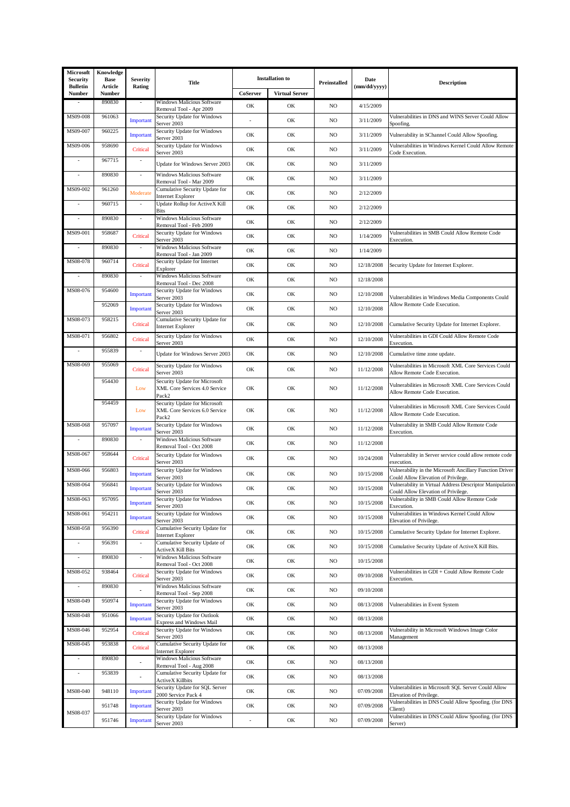| Microsoft<br>Security     | Knowledge<br><b>Base</b> | <b>Severity</b>          | <b>Title</b>                                                            |          | <b>Installation to</b> | Preinstalled | Date         | <b>Description</b>                                                                              |
|---------------------------|--------------------------|--------------------------|-------------------------------------------------------------------------|----------|------------------------|--------------|--------------|-------------------------------------------------------------------------------------------------|
| <b>Bulletin</b><br>Number | Article<br>Number        | Rating                   |                                                                         | CoServer | <b>Virtual Server</b>  |              | (mm/dd/yyyy) |                                                                                                 |
|                           | 890830                   |                          | Windows Malicious Software<br>Removal Tool - Apr 2009                   | OK       | OK                     | NO.          | 4/15/2009    |                                                                                                 |
| MS09-008                  | 961063                   | Important                | Security Update for Windows<br>Server 2003                              | $\sim$   | OK                     | NO.          | 3/11/2009    | Vulnerabilities in DNS and WINS Server Could Allow<br>Spoofing.                                 |
| MS09-007                  | 960225                   | Important                | Security Update for Windows<br>Server 2003                              | OK       | OK                     | NO           | 3/11/2009    | Vulnerability in SChannel Could Allow Spoofing.                                                 |
| MS09-006                  | 958690                   | Critical                 | Security Update for Windows<br>Server 2003                              | OK       | OK                     | NO.          | 3/11/2009    | Vulnerabilities in Windows Kernel Could Allow Remote<br>Code Execution.                         |
| $\sim$                    | 967715                   | $\sim$                   | Update for Windows Server 2003                                          | OK       | OK                     | NO.          | 3/11/2009    |                                                                                                 |
|                           | 890830                   | $\sim$                   | Windows Malicious Software<br>Removal Tool - Mar 2009                   | OK       | OK                     | NO           | 3/11/2009    |                                                                                                 |
| MS09-002                  | 961260                   | Moderate                 | Cumulative Security Update for<br><b>Internet Explorer</b>              | OK       | OK                     | NO           | 2/12/2009    |                                                                                                 |
|                           | 960715                   | ÷.                       | Update Rollup for ActiveX Kill<br><b>Bits</b>                           | OK       | OK                     | NO           | 2/12/2009    |                                                                                                 |
|                           | 890830                   | L.                       | Windows Malicious Software<br>Removal Tool - Feb 2009                   | OK       | OK                     | NO.          | 2/12/2009    |                                                                                                 |
| MS09-001                  | 958687                   | Critical                 | Security Update for Windows<br>Server 2003                              | OK       | OK                     | NO           | 1/14/2009    | Vulnerabilities in SMB Could Allow Remote Code<br>Execution.                                    |
|                           | 890830                   |                          | Windows Malicious Software<br>Removal Tool - Jan 2009                   | OK       | OK                     | NO           | 1/14/2009    |                                                                                                 |
| MS08-078                  | 960714                   | Critical                 | Security Update for Internet<br>Explorer                                | OK       | OK                     | NO.          | 12/18/2008   | Security Update for Internet Explorer.                                                          |
| ÷,                        | 890830                   | ÷,                       | Windows Malicious Software<br>Removal Tool - Dec 2008                   | OK       | OK                     | NO.          | 12/18/2008   |                                                                                                 |
| MS08-076                  | 954600                   | Important                | Security Update for Windows<br>Server 2003                              | OK       | OK                     | NO.          | 12/10/2008   | Vulnerabilities in Windows Media Components Could                                               |
|                           | 952069                   | Important                | Security Update for Windows<br>Server 2003                              | OK       | OK                     | NO           | 12/10/2008   | Allow Remote Code Execution.                                                                    |
| MS08-073                  | 958215                   | Critical                 | Cumulative Security Update for<br><b>Internet Explorer</b>              | OK       | OK                     | NO           | 12/10/2008   | Cumulative Security Update for Internet Explorer.                                               |
| MS08-071                  | 956802                   | Critical                 | Security Update for Windows<br>Server 2003                              | OK       | OK                     | NO           | 12/10/2008   | Vulnerabilities in GDI Could Allow Remote Code<br>Execution.                                    |
|                           | 955839                   | $\overline{\phantom{a}}$ | Update for Windows Server 2003                                          | OK       | OK                     | NO           | 12/10/2008   | Cumulative time zone update.                                                                    |
| MS08-069                  | 955069                   | Critical                 | Security Update for Windows<br>Server 2003                              | OK       | OK                     | NO           | 11/12/2008   | Vulnerabilities in Microsoft XML Core Services Could<br>Allow Remote Code Execution.            |
|                           | 954430                   | Low                      | Security Update for Microsoft<br>XML Core Services 4.0 Service<br>Pack2 | OK       | OK                     | NO           | 11/12/2008   | Vulnerabilities in Microsoft XML Core Services Could<br>Allow Remote Code Execution.            |
|                           | 954459                   | Low                      | Security Update for Microsoft<br>XML Core Services 6.0 Service<br>Pack2 | OK       | OK                     | NO           | 11/12/2008   | Vulnerabilities in Microsoft XML Core Services Could<br>Allow Remote Code Execution.            |
| MS08-068                  | 957097                   | Important                | Security Update for Windows<br>Server 2003                              | OK       | OK                     | NO           | 11/12/2008   | Vulnerability in SMB Could Allow Remote Code<br>Execution.                                      |
|                           | 890830                   |                          | Windows Malicious Software<br>Removal Tool - Oct 2008                   | OK       | OK                     | NO           | 11/12/2008   |                                                                                                 |
| MS08-067                  | 958644                   | Critical                 | Security Update for Windows<br>Server 2003                              | OK       | OK                     | NO           | 10/24/2008   | Vulnerability in Server service could allow remote code<br>execution.                           |
| MS08-066                  | 956803                   | Important                | Security Update for Windows<br>Server 2003                              | OK       | OK                     | NO           | 10/15/2008   | Vulnerability in the Microsoft Ancillary Function Driver<br>Could Allow Elevation of Privilege. |
| MS08-064                  | 956841                   | Important                | Security Update for Windows<br>Server 2003                              | OK       | OK                     | NO           | 10/15/2008   | Vulnerability in Virtual Address Descriptor Manipulation<br>Could Allow Elevation of Privilege. |
| MS08-063                  | 957095                   | Important                | Security Update for Windows<br>Server 2003                              | OK       | OK                     | $_{\rm NO}$  | 10/15/2008   | Vulnerability in SMB Could Allow Remote Code<br>Execution.                                      |
| MS08-061                  | 954211                   | Important                | Security Update for Windows<br>Server 2003                              | OK       | OK                     | NO           | 10/15/2008   | Vulnerabilities in Windows Kernel Could Allow<br>Elevation of Privilege.                        |
| MS08-058                  | 956390                   | Critical                 | Cumulative Security Update for<br><b>Internet Explorer</b>              | OK       | OK                     | NO           | 10/15/2008   | Cumulative Security Update for Internet Explorer.                                               |
|                           | 956391                   |                          | Cumulative Security Update of<br><b>ActiveX Kill Bits</b>               | OK       | OK                     | NO           | 10/15/2008   | Cumulative Security Update of ActiveX Kill Bits.                                                |
| ÷,                        | 890830                   | $\bar{z}$                | Windows Malicious Software<br>Removal Tool - Oct 2008                   | OK       | OK                     | NO.          | 10/15/2008   |                                                                                                 |
| MS08-052                  | 938464                   | Critical                 | Security Update for Windows<br>Server 2003                              | OK       | OK                     | NO           | 09/10/2008   | Vulnerabilities in GDI + Could Allow Remote Code<br>Execution.                                  |
|                           | 890830                   |                          | Windows Malicious Software<br>Removal Tool - Sep 2008                   | OK       | OK                     | NO           | 09/10/2008   |                                                                                                 |
| MS08-049                  | 950974                   | Important                | Security Update for Windows<br>Server 2003                              | OK       | OK                     | NO.          | 08/13/2008   | Vulnerabilities in Event System                                                                 |
| MS08-048                  | 951066                   | Important                | Security Update for Outlook<br>Express and Windows Mail                 | OK       | OK                     | NO.          | 08/13/2008   |                                                                                                 |
| MS08-046                  | 952954                   | Critical                 | Security Update for Windows<br>Server 2003                              | OK       | OK                     | NO.          | 08/13/2008   | Vulnerability in Microsoft Windows Image Color<br>Management                                    |
| MS08-045                  | 953838                   | Critical                 | Cumulative Security Update for<br><b>Internet Explorer</b>              | OK       | OK                     | NO           | 08/13/2008   |                                                                                                 |
| $\overline{\phantom{a}}$  | 890830                   |                          | Windows Malicious Software<br>Removal Tool - Aug 2008                   | OK       | OK                     | NO           | 08/13/2008   |                                                                                                 |
| ÷,                        | 953839                   |                          | Cumulative Security Update for<br><b>ActiveX Killbits</b>               | OK       | OK                     | NO           | 08/13/2008   |                                                                                                 |
| MS08-040                  | 948110                   | Important                | Security Update for SQL Server<br>2000 Service Pack 4                   | OK       | OK                     | NO           | 07/09/2008   | Vulnerabilities in Microsoft SQL Server Could Allow<br>Elevation of Privilege.                  |
| MS08-037                  | 951748                   | Important                | Security Update for Windows<br>Server 2003                              | OK       | OK                     | NO           | 07/09/2008   | Vulnerabilities in DNS Could Allow Spoofing. (for DNS<br>Client)                                |
|                           | 951746                   | Important                | Security Update for Windows<br>Server 2003                              |          | OK                     | NO           | 07/09/2008   | Vulnerabilities in DNS Could Allow Spoofing. (for DNS<br>Server)                                |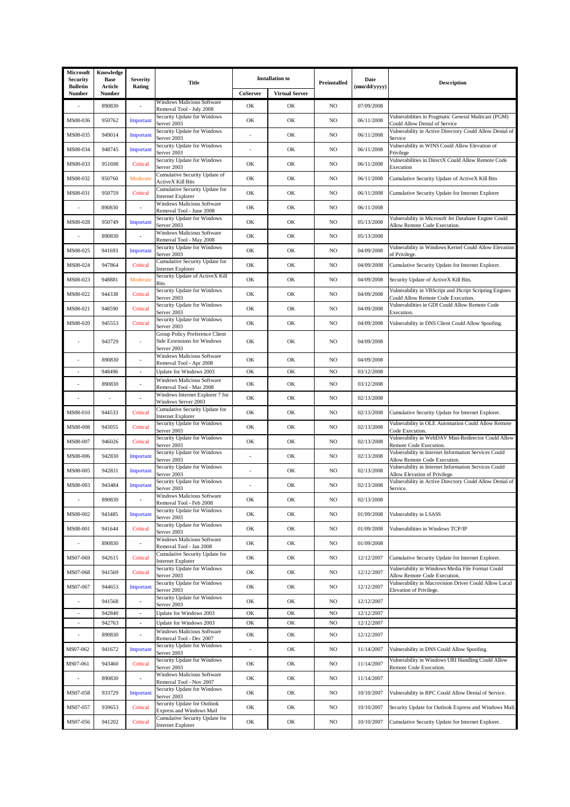| Microsoft<br>Security     | Knowledge<br><b>Base</b> | <b>Severity</b>          | <b>Title</b>                                                                 | <b>Installation</b> to |                       | Preinstalled   | Date<br>(mm/dd/yyyy) | <b>Description</b>                                                                            |
|---------------------------|--------------------------|--------------------------|------------------------------------------------------------------------------|------------------------|-----------------------|----------------|----------------------|-----------------------------------------------------------------------------------------------|
| <b>Bulletin</b><br>Number | Article<br>Number        | Rating                   |                                                                              | CoServer               | <b>Virtual Server</b> |                |                      |                                                                                               |
|                           | 890830                   |                          | Windows Malicious Software<br>Removal Tool - July 2008                       | OK                     | OK                    | NO             | 07/09/2008           |                                                                                               |
| MS08-036                  | 950762                   | Important                | Security Update for Windows<br>Server 2003                                   | OK                     | OK                    | NO             | 06/11/2008           | Vulnerabilities in Pragmatic General Multicast (PGM)<br>Could Allow Denial of Service         |
| MS08-035                  | 949014                   | Important                | Security Update for Windows<br>Server 2003                                   |                        | OK                    | NO             | 06/11/2008           | Vulnerability in Active Directory Could Allow Denial of<br>Service                            |
| MS08-034                  | 948745                   | Important                | Security Update for Windows<br>Server 2003                                   | $\overline{a}$         | OK                    | NO             | 06/11/2008           | Vulnerability in WINS Could Allow Elevation of<br>Privilege                                   |
| MS08-033                  | 951698                   | Critical                 | Security Update for Windows<br>Server 2003                                   | OK                     | OK                    | NO             | 06/11/2008           | Vulnerabilities in DirectX Could Allow Remote Code<br>Execution                               |
| MS08-032                  | 950760                   | Moderate                 | Cumulative Security Update of<br>ActiveX Kill Bits                           | OK                     | OK                    | NO             | 06/11/2008           | Cumulative Security Update of ActiveX Kill Bits                                               |
| MS08-031                  | 950759                   | Critical                 | Cumulative Security Update for<br>Internet Explorer                          | OK                     | OK                    | NO             | 06/11/2008           | Cumulative Security Update for Internet Explorer                                              |
|                           | 890830                   | $\overline{\phantom{a}}$ | Windows Malicious Software<br>Removal Tool - June 2008                       | OK                     | OK                    | NO             | 06/11/2008           |                                                                                               |
| MS08-028                  | 950749                   | Important                | Security Update for Windows<br>Server 2003                                   | OK                     | OK                    | NO             | 05/13/2008           | Vulnerability in Microsoft Jet Database Engine Could<br>Allow Remote Code Execution.          |
|                           | 890830                   |                          | Windows Malicious Software<br>Removal Tool - May 2008                        | OK                     | OK                    | NO             | 05/13/2008           |                                                                                               |
| MS08-025                  | 941693                   | Important                | Security Update for Windows<br>Server 2003                                   | OK                     | OK                    | N <sub>O</sub> | 04/09/2008           | Vulnerability in Windows Kernel Could Allow Elevation<br>of Privilege.                        |
| MS08-024                  | 947864                   | Critical                 | Cumulative Security Update for<br>Internet Explorer                          | OK                     | OK                    | NO             | 04/09/2008           | Cumulative Security Update for Internet Explorer.                                             |
| MS08-023                  | 948881                   | Moderate                 | Security Update of ActiveX Kill<br>Bits                                      | OK                     | OK                    | N <sub>O</sub> | 04/09/2008           | Security Update of ActiveX Kill Bits.                                                         |
| MS08-022                  | 944338                   | Critical                 | Security Update for Windows<br>Server 2003                                   | OK                     | OK                    | NO             | 04/09/2008           | Vulnerability in VBScript and JScript Scripting Engines<br>Could Allow Remote Code Execution. |
| MS08-021                  | 948590                   | Critical                 | Security Update for Windows<br>Server 2003                                   | OK                     | OK                    | NO             | 04/09/2008           | Vulnerabilities in GDI Could Allow Remote Code<br>Execution.                                  |
| MS08-020                  | 945553                   | Critical                 | Security Update for Windows<br>Server 2003                                   | OK                     | OK                    | N <sub>O</sub> | 04/09/2008           | Vulnerability in DNS Client Could Allow Spoofing.                                             |
|                           | 943729                   | ÷,                       | Group Policy Preference Client<br>Side Extensions for Windows<br>Server 2003 | OK                     | OK                    | NO             | 04/09/2008           |                                                                                               |
|                           | 890830                   |                          | Windows Malicious Software<br>Removal Tool - Apr 2008                        | OK                     | OK                    | NO             | 04/09/2008           |                                                                                               |
|                           | 948496                   | $\overline{\phantom{a}}$ | Update for Windows 2003                                                      | OK                     | OK                    | NO             | 03/12/2008           |                                                                                               |
|                           | 890830                   |                          | Windows Malicious Software<br>Removal Tool - Mar 2008                        | OK                     | OK                    | NO             | 03/12/2008           |                                                                                               |
|                           |                          | $\overline{a}$           | Windows Internet Explorer 7 for<br>Windows Server 2003                       | OK                     | OK                    | NO             | 02/13/2008           |                                                                                               |
| MS08-010                  | 944533                   | Critical                 | Cumulative Security Update for<br>Internet Explorer                          | OK                     | OK                    | NO             | 02/13/2008           | Cumulative Security Update for Internet Explorer.                                             |
| MS08-008                  | 943055                   | Critical                 | Security Update for Windows<br>Server 2003                                   | OK                     | OK                    | NO             | 02/13/2008           | Vulnerability in OLE Automation Could Allow Remote<br>Code Execution.                         |
| MS08-007                  | 946026                   | Critical                 | Security Update for Windows<br>Server 2003                                   | OK                     | OK                    | NO             | 02/13/2008           | Vulnerability in WebDAV Mini-Redirector Could Allow<br>Remote Code Execution.                 |
| MS08-006                  | 942830                   | Important                | Security Update for Windows<br>Server 2003                                   |                        | OK                    | NO             | 02/13/2008           | Vulnerability in Internet Information Services Could<br>Allow Remote Code Execution.          |
| MS08-005                  | 942831                   | Important                | Security Update for Windows<br>Server 2003                                   |                        | OK                    | NO             | 02/13/2008           | Vulnerability in Internet Information Services Could<br>Allow Elevation of Privilege.         |
| MS08-003                  | 943484                   | Important                | Security Update for Windows<br>Server 2003                                   |                        | OK                    | NO             | 02/13/2008           | Vulnerability in Active Directory Could Allow Denial of<br>Service.                           |
|                           | 890830                   |                          | Windows Malicious Software<br>Removal Tool - Feb 2008                        | OK                     | OK                    | NO             | 02/13/2008           |                                                                                               |
| MS08-002                  | 943485                   | Important                | Security Update for Windows<br>Server 2003                                   | OK                     | OK                    | NO             | 01/09/2008           | Vulnerability in LSASS                                                                        |
| MS08-001                  | 941644                   | Critical                 | Security Update for Windows<br>Server 2003                                   | OK                     | OK                    | NO             | 01/09/2008           | Vulnerabilities in Windows TCP/IP                                                             |
|                           | 890830                   |                          | <b>Windows Malicious Software</b><br>Removal Tool - Jan 2008                 | OK                     | OK                    | NO             | 01/09/2008           |                                                                                               |
| MS07-069                  | 942615                   | Critical                 | Cumulative Security Update for<br>Internet Explorer                          | OK                     | OK                    | NO             | 12/12/2007           | Cumulative Security Update for Internet Explorer.                                             |
| MS07-068                  | 941569                   | Critical                 | Security Update for Windows<br>Server 2003                                   | OK                     | OK                    | NO             | 12/12/2007           | Vulnerability in Windows Media File Format Could<br>Allow Remote Code Execution.              |
| MS07-067                  | 944653                   | Important                | Security Update for Windows<br>Server 2003                                   | OK                     | OK                    | NO             | 12/12/2007           | Vulnerability in Macrovision Driver Could Allow Local<br>Elevation of Privilege.              |
|                           | 941568                   |                          | Security Update for Windows<br>Server 2003                                   | OK                     | OK                    | NO             | 12/12/2007           |                                                                                               |
|                           | 942840                   | $\blacksquare$           | Update for Windows 2003                                                      | OK                     | OK                    | NO             | 12/12/2007           |                                                                                               |
|                           | 942763                   | $\blacksquare$           | Update for Windows 2003<br>Windows Malicious Software                        | OK                     | OK                    | NO             | 12/12/2007           |                                                                                               |
|                           | 890830                   | $\overline{a}$           | Removal Tool - Dec 2007                                                      | OK                     | OK                    | NO             | 12/12/2007           |                                                                                               |
| MS07-062                  | 941672                   | Important                | Security Update for Windows<br>Server 2003                                   | $\ddot{\phantom{0}}$   | OK                    | NO             | 11/14/2007           | Vulnerability in DNS Could Allow Spoofing.                                                    |
| MS07-061                  | 943460                   | Critical                 | Security Update for Windows<br>Server 2003                                   | OK                     | OK                    | NO             | 11/14/2007           | Vulnerability in Windows URI Handling Could Allow<br>Remote Code Execution.                   |
|                           | 890830                   |                          | Windows Malicious Software<br>Removal Tool - Nov 2007                        | OK                     | OK                    | NO             | 11/14/2007           |                                                                                               |
| MS07-058                  | 933729                   | Importan                 | Security Update for Windows<br>Server 2003                                   | OK                     | OK                    | NO             | 10/10/2007           | Vulnerability in RPC Could Allow Denial of Service.                                           |
| MS07-057                  | 939653                   | Critical                 | Security Update for Outlook<br>Express and Windows Mail                      | OK                     | OK                    | NO             | 10/10/2007           | Security Update for Outlook Express and Windows Mail.                                         |
| MS07-056                  | 941202                   | Critical                 | Cumulative Security Update for<br><b>Internet Explorer</b>                   | OK                     | OK                    | NO             | 10/10/2007           | Cumulative Security Update for Internet Explorer.                                             |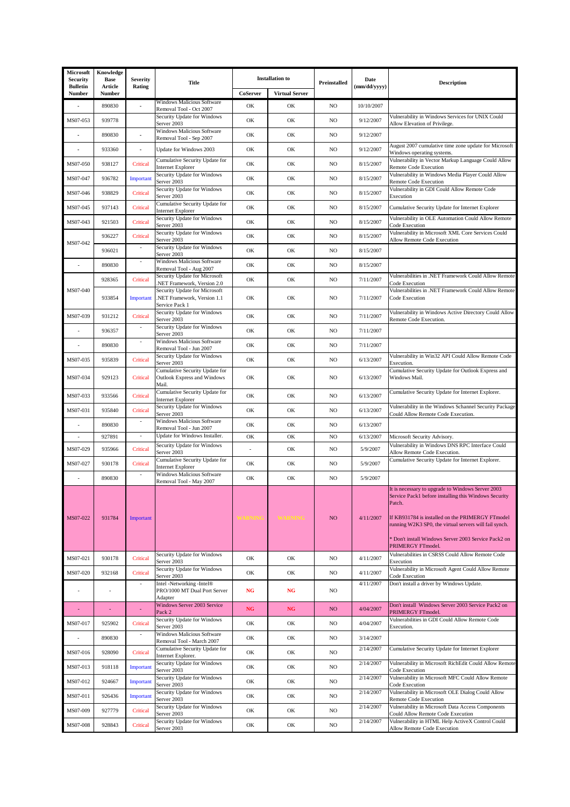| Microsoft<br>Security            | Knowledge<br>Base | <b>Severity</b>          | <b>Title</b>                                                                  | <b>Installation</b> to |                       | Preinstalled | Date         | <b>Description</b>                                                                                                                                                                                                                                                                                              |
|----------------------------------|-------------------|--------------------------|-------------------------------------------------------------------------------|------------------------|-----------------------|--------------|--------------|-----------------------------------------------------------------------------------------------------------------------------------------------------------------------------------------------------------------------------------------------------------------------------------------------------------------|
| <b>Bulletin</b><br><b>Number</b> | Article<br>Number | Rating                   |                                                                               | CoServer               | <b>Virtual Server</b> |              | (mm/dd/yyyy) |                                                                                                                                                                                                                                                                                                                 |
|                                  | 890830            |                          | <b>Windows Malicious Software</b><br>Removal Tool - Oct 2007                  | OK                     | OK                    | NO           | 10/10/2007   |                                                                                                                                                                                                                                                                                                                 |
| MS07-053                         | 939778            |                          | Security Update for Windows<br>Server 2003                                    | OK                     | OK                    | NO           | 9/12/2007    | Vulnerability in Windows Services for UNIX Could<br>Allow Elevation of Privilege.                                                                                                                                                                                                                               |
|                                  | 890830            |                          | Windows Malicious Software<br>Removal Tool - Sep 2007                         | OK                     | OK                    | $_{\rm NO}$  | 9/12/2007    |                                                                                                                                                                                                                                                                                                                 |
|                                  | 933360            | $\blacksquare$           | Update for Windows 2003                                                       | OK                     | OK                    | NO           | 9/12/2007    | August 2007 cumulative time zone update for Microsoft<br>Windows operating systems.                                                                                                                                                                                                                             |
| MS07-050                         | 938127            | Critical                 | Cumulative Security Update for<br>Internet Explorer                           | OK                     | OK                    | NO           | 8/15/2007    | Vulnerability in Vector Markup Language Could Allow<br>Remote Code Execution                                                                                                                                                                                                                                    |
| MS07-047                         | 936782            | Important                | Security Update for Windows<br>Server 2003                                    | OK                     | OK                    | NO.          | 8/15/2007    | Vulnerability in Windows Media Player Could Allow<br>Remote Code Execution                                                                                                                                                                                                                                      |
| MS07-046                         | 938829            | Critical                 | Security Update for Windows<br>Server 2003                                    | OK                     | OK                    | NO.          | 8/15/2007    | Vulnerability in GDI Could Allow Remote Code<br>Execution                                                                                                                                                                                                                                                       |
| MS07-045                         | 937143            | Critical                 | Cumulative Security Update for<br>Internet Explorer                           | OK                     | OK                    | NO           | 8/15/2007    | Cumulative Security Update for Internet Explorer                                                                                                                                                                                                                                                                |
| MS07-043                         | 921503            | Critical                 | Security Update for Windows<br>Server 2003                                    | OK                     | OK                    | NO           | 8/15/2007    | Vulnerability in OLE Automation Could Allow Remote<br>Code Execution                                                                                                                                                                                                                                            |
| MS07-042                         | 936227            | Critical                 | Security Update for Windows<br>Server 2003                                    | OK                     | OK                    | NO           | 8/15/2007    | Vulnerability in Microsoft XML Core Services Could<br>Allow Remote Code Execution                                                                                                                                                                                                                               |
|                                  | 936021            | ÷,                       | Security Update for Windows<br>Server 2003                                    | OK                     | OK                    | NO           | 8/15/2007    |                                                                                                                                                                                                                                                                                                                 |
| $\sim$                           | 890830            | $\overline{\phantom{a}}$ | <b>Windows Malicious Software</b><br>Removal Tool - Aug 2007                  | OK                     | OK                    | NO           | 8/15/2007    |                                                                                                                                                                                                                                                                                                                 |
|                                  | 928365            | Critical                 | Security Update for Microsoft<br>NET Framework, Version 2.0                   | OK                     | OK                    | NO           | 7/11/2007    | Vulnerabilities in .NET Framework Could Allow Remote<br>Code Execution                                                                                                                                                                                                                                          |
| MS07-040                         | 933854            | Important                | Security Update for Microsoft<br>NET Framework, Version 1.1<br>Service Pack 1 | OK                     | OK                    | NO.          | 7/11/2007    | Vulnerabilities in .NET Framework Could Allow Remote<br>Code Execution                                                                                                                                                                                                                                          |
| MS07-039                         | 931212            | Critical                 | Security Update for Windows<br>Server 2003                                    | OK                     | OK                    | NO.          | 7/11/2007    | Vulnerability in Windows Active Directory Could Allow<br>Remote Code Execution.                                                                                                                                                                                                                                 |
|                                  | 936357            | $\sim$                   | Security Update for Windows<br>Server 2003                                    | OK                     | OK                    | NO.          | 7/11/2007    |                                                                                                                                                                                                                                                                                                                 |
|                                  | 890830            |                          | Windows Malicious Software<br>Removal Tool - Jun 2007                         | OK                     | OK                    | NO.          | 7/11/2007    |                                                                                                                                                                                                                                                                                                                 |
| MS07-035                         | 935839            | Critical                 | Security Update for Windows<br>Server 2003                                    | OK                     | OK                    | NO.          | 6/13/2007    | Vulnerability in Win32 API Could Allow Remote Code<br>Execution.                                                                                                                                                                                                                                                |
| MS07-034                         | 929123            | Critical                 | Cumulative Security Update for<br>Outlook Express and Windows<br>Mail.        | OK                     | OK                    | NO.          | 6/13/2007    | Cumulative Security Update for Outlook Express and<br>Windows Mail.                                                                                                                                                                                                                                             |
| MS07-033                         | 933566            | Critical                 | Cumulative Security Update for<br>Internet Explorer                           | OK                     | OK                    | NO           | 6/13/2007    | Cumulative Security Update for Internet Explorer.                                                                                                                                                                                                                                                               |
| MS07-031                         | 935840            | Critical                 | Security Update for Windows<br>Server 2003                                    | OK                     | OK                    | NO           | 6/13/2007    | Vulnerability in the Windows Schannel Security Package<br>Could Allow Remote Code Execution.                                                                                                                                                                                                                    |
|                                  | 890830            | $\sim$                   | <b>Windows Malicious Software</b><br>Removal Tool - Jun 2007                  | OK                     | OK                    | NO           | 6/13/2007    |                                                                                                                                                                                                                                                                                                                 |
| ÷                                | 927891            | $\blacksquare$           | Update for Windows Installer.                                                 | OK                     | OK                    | NO           | 6/13/2007    | Microsoft Security Advisory.                                                                                                                                                                                                                                                                                    |
| MS07-029                         | 935966            | Critical                 | Security Update for Windows<br>Server 2003                                    |                        | OK                    | NO           | 5/9/2007     | Vulnerability in Windows DNS RPC Interface Could<br>Allow Remote Code Execution.                                                                                                                                                                                                                                |
| MS07-027                         | 930178            | Critical                 | Cumulative Security Update for<br>Internet Explorer                           | OK                     | OK                    | NO           | 5/9/2007     | Cumulative Security Update for Internet Explorer.                                                                                                                                                                                                                                                               |
|                                  | 890830            |                          | Windows Malicious Software<br>Removal Tool - May 2007                         | OK                     | OK                    | NO           | 5/9/2007     |                                                                                                                                                                                                                                                                                                                 |
| MS07-022                         | 931784            | Important                |                                                                               |                        |                       | NO.          | 4/11/2007    | It is necessary to upgrade to Windows Server 2003<br>Service Pack1 before installing this Windows Security<br>Patch.<br>If KB931784 is installed on the PRIMERGY FTmodel<br>running W2K3 SP0, the virtual servers will fail synch.<br>* Don't install Windows Server 2003 Service Pack2 on<br>PRIMERGY FTmodel. |
| MS07-021                         | 930178            | Critical                 | Security Update for Windows<br>Server 2003                                    | OK                     | OK                    | NO           | 4/11/2007    | Vulnerabilities in CSRSS Could Allow Remote Code<br>Execution                                                                                                                                                                                                                                                   |
| MS07-020                         | 932168            | Critical                 | Security Update for Windows<br>Server 2003                                    | OK                     | OK                    | NO           | 4/11/2007    | Vulnerability in Microsoft Agent Could Allow Remote<br>Code Execution                                                                                                                                                                                                                                           |
|                                  |                   |                          | Intel -Networking -Intel®<br>PRO/1000 MT Dual Port Server<br>Adapter          | <b>NG</b>              | <b>NG</b>             | NO.          | 4/11/2007    | Don't install a driver by Windows Update.                                                                                                                                                                                                                                                                       |
|                                  |                   |                          | Windows Server 2003 Service<br>Pack 2                                         | $_{\rm NG}$            | NG                    | NO.          | 4/04/2007    | Don't install Windows Server 2003 Service Pack2 on<br>PRIMERGY FTmodel.                                                                                                                                                                                                                                         |
| MS07-017                         | 925902            | Critical                 | Security Update for Windows<br>Server 2003                                    | OK                     | OK                    | NO           | 4/04/2007    | Vulnerabilities in GDI Could Allow Remote Code<br>Execution.                                                                                                                                                                                                                                                    |
| $\ddot{\phantom{0}}$             | 890830            |                          | <b>Windows Malicious Software</b><br>Removal Tool - March 2007                | OK                     | OK                    | NO.          | 3/14/2007    |                                                                                                                                                                                                                                                                                                                 |
| MS07-016                         | 928090            | Critical                 | Cumulative Security Update for<br>Internet Explorer.                          | OK                     | OK                    | NO           | 2/14/2007    | Cumulative Security Update for Internet Explorer                                                                                                                                                                                                                                                                |
| MS07-013                         | 918118            | Important                | Security Update for Windows<br>Server 2003                                    | OK                     | OK                    | NO.          | 2/14/2007    | Vulnerability in Microsoft RichEdit Could Allow Remote<br>Code Execution                                                                                                                                                                                                                                        |
| MS07-012                         | 924667            | Important                | Security Update for Windows<br>Server 2003                                    | OK                     | OK                    | NO.          | 2/14/2007    | Vulnerability in Microsoft MFC Could Allow Remote<br>Code Execution                                                                                                                                                                                                                                             |
| MS07-011                         | 926436            | Important                | Security Update for Windows<br>Server 2003                                    | OK                     | OK                    | NO.          | 2/14/2007    | Vulnerability in Microsoft OLE Dialog Could Allow<br>Remote Code Execution                                                                                                                                                                                                                                      |
| MS07-009                         | 927779            | Critical                 | Security Update for Windows<br>Server 2003                                    | OK                     | OK                    | NO           | 2/14/2007    | Vulnerability in Microsoft Data Access Components<br>Could Allow Remote Code Execution                                                                                                                                                                                                                          |
| MS07-008                         | 928843            | Critical                 | Security Update for Windows<br>Server 2003                                    | OK                     | OK                    | NO           | 2/14/2007    | Vulnerability in HTML Help ActiveX Control Could<br>Allow Remote Code Execution                                                                                                                                                                                                                                 |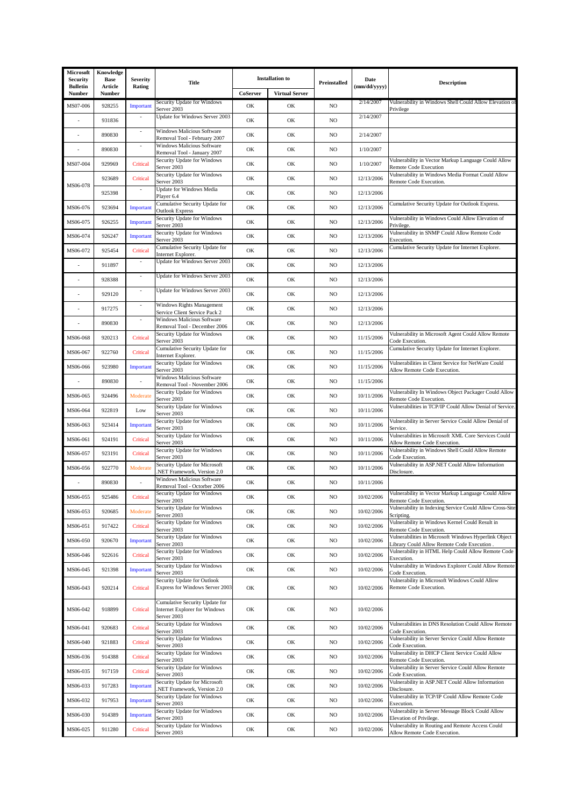| Microsoft<br><b>Security</b>     | Knowledge<br><b>Base</b> | <b>Severity</b>    | <b>Title</b>                                                                          | <b>Installation to</b> |                       | Preinstalled | Date         | <b>Description</b>                                                                               |
|----------------------------------|--------------------------|--------------------|---------------------------------------------------------------------------------------|------------------------|-----------------------|--------------|--------------|--------------------------------------------------------------------------------------------------|
| <b>Bulletin</b><br><b>Number</b> | Article<br>Number        | Rating             |                                                                                       | CoServer               | <b>Virtual Server</b> |              | (mm/dd/yyyy) |                                                                                                  |
| MS07-006                         | 928255                   | Important          | Security Update for Windows<br>Server 2003                                            | OK                     | OK                    | NO           | 2/14/2007    | Vulnerability in Windows Shell Could Allow Elevation of<br>Privilege                             |
|                                  | 931836                   |                    | Update for Windows Server 2003                                                        | OK                     | OK                    | NO           | 2/14/2007    |                                                                                                  |
|                                  | 890830                   |                    | Windows Malicious Software<br>Removal Tool - February 2007                            | OK                     | OK                    | NO           | 2/14/2007    |                                                                                                  |
|                                  | 890830                   |                    | Windows Malicious Software<br>Removal Tool - January 2007                             | OK                     | OK                    | NO           | 1/10/2007    |                                                                                                  |
| MS07-004                         | 929969                   | Critical           | Security Update for Windows<br>Server 2003                                            | OK                     | OK                    | NO           | 1/10/2007    | Vulnerability in Vector Markup Language Could Allow<br>Remote Code Execution                     |
|                                  | 923689                   | Critical           | Security Update for Windows                                                           | OK                     | OK                    | NO           | 12/13/2006   | Vulnerability in Windows Media Format Could Allow                                                |
| MS06-078                         | 925398                   |                    | Server 2003<br>Update for Windows Media                                               | OK                     | OK                    | NO           | 12/13/2006   | Remote Code Execution.                                                                           |
| MS06-076                         | 923694                   | Important          | Player 6.4<br>Cumulative Security Update for                                          | OK                     | OK                    | NO           | 12/13/2006   | Cumulative Security Update for Outlook Express.                                                  |
| MS06-075                         | 926255                   | Important          | <b>Outlook Express</b><br>Security Update for Windows                                 | OK                     | OK                    | NO           | 12/13/2006   | Vulnerability in Windows Could Allow Elevation of                                                |
|                                  |                          |                    | Server 2003<br>Security Update for Windows                                            |                        |                       |              |              | Privilege.<br>Vulnerability in SNMP Could Allow Remote Code                                      |
| MS06-074                         | 926247                   | Important          | Server 2003<br>Cumulative Security Update for                                         | OK                     | OK                    | NO           | 12/13/2006   | Execution.<br>Cumulative Security Update for Internet Explorer.                                  |
| MS06-072                         | 925454                   | Critical<br>$\sim$ | Internet Explorer.<br>Update for Windows Server 2003                                  | OK                     | OK                    | NO           | 12/13/2006   |                                                                                                  |
|                                  | 911897                   | $\sim$             |                                                                                       | OK                     | OK                    | NO           | 12/13/2006   |                                                                                                  |
|                                  | 928388                   |                    | Update for Windows Server 2003                                                        | OK                     | OK                    | NO           | 12/13/2006   |                                                                                                  |
|                                  | 929120                   |                    | Update for Windows Server 2003                                                        | OK                     | OK                    | NO           | 12/13/2006   |                                                                                                  |
|                                  | 917275                   | $\sim$             | Windows Rights Management<br>Service Client Service Pack 2                            | OK                     | OK                    | NO           | 12/13/2006   |                                                                                                  |
|                                  | 890830                   |                    | Windows Malicious Software<br>Removal Tool - December 2006                            | OK                     | OK                    | NO           | 12/13/2006   |                                                                                                  |
| MS06-068                         | 920213                   | Critical           | Security Update for Windows<br>Server 2003                                            | OK                     | OK                    | NO           | 11/15/2006   | Vulnerability in Microsoft Agent Could Allow Remote<br>Code Execution.                           |
| MS06-067                         | 922760                   | Critical           | Cumulative Security Update for<br>Internet Explorer.                                  | OK                     | OK                    | NO           | 11/15/2006   | Cumulative Security Update for Internet Explorer.                                                |
| MS06-066                         | 923980                   | Important          | Security Update for Windows<br>Server 2003                                            | OK                     | OK                    | NO           | 11/15/2006   | Vulnerabilities in Client Service for NetWare Could<br>Allow Remote Code Execution.              |
|                                  | 890830                   |                    | Windows Malicious Software<br>Removal Tool - November 2006                            | OK                     | OK                    | NO           | 11/15/2006   |                                                                                                  |
| MS06-065                         | 924496                   | Moderate           | Security Update for Windows<br>Server 2003                                            | OK                     | OK                    | NO           | 10/11/2006   | Vulnerability In Windows Object Packager Could Allow<br>Remote Code Execution.                   |
| MS06-064                         | 922819                   | Low                | Security Update for Windows                                                           | OK                     | OK                    | NO           | 10/11/2006   | Vulnerabilities in TCP/IP Could Allow Denial of Service.                                         |
| MS06-063                         | 923414                   | Important          | Server 2003<br>Security Update for Windows<br>Server 2003                             | OK                     | OK                    | NO           | 10/11/2006   | Vulnerability in Server Service Could Allow Denial of<br>Service.                                |
| MS06-061                         | 924191                   | Critical           | Security Update for Windows<br>Server 2003                                            | OK                     | OK                    | NO           | 10/11/2006   | Vulnerabilities in Microsoft XML Core Services Could<br>Allow Remote Code Execution.             |
| MS06-057                         | 923191                   | Critical           | Security Update for Windows<br>Server 2003                                            | OK                     | OK                    | NO           | 10/11/2006   | Vulnerability in Windows Shell Could Allow Remote<br>Code Execution.                             |
| MS06-056                         | 922770                   | Moderate           | Security Update for Microsoft<br>NET Framework, Version 2.0                           | OK                     | OK                    | NO           | 10/11/2006   | Vulnerability in ASP.NET Could Allow Information<br>Disclosure.                                  |
|                                  | 890830                   |                    | <b>Windows Malicious Software</b>                                                     | OK                     | OK                    | NO           | 10/11/2006   |                                                                                                  |
| MS06-055                         | 925486                   | Critical           | Removal Tool - Octorber 2006<br>Security Update for Windows                           | OK                     | OK                    | NO           | 10/02/2006   | Vulnerability in Vector Markup Language Could Allow                                              |
| MS06-053                         | 920685                   | Moderate           | Server 2003<br>Security Update for Windows                                            | OK                     | OK                    | NO           | 10/02/2006   | Remote Code Execution.<br>Vulnerability in Indexing Service Could Allow Cross-Site               |
|                                  |                          |                    | Server 2003<br>Security Update for Windows                                            |                        |                       |              |              | Scripting.<br>Vulnerability in Windows Kernel Could Result in                                    |
| MS06-051                         | 917422                   | Critical           | Server 2003<br>Security Update for Windows                                            | OK                     | OK                    | NO           | 10/02/2006   | Remote Code Execution.<br>Vulnerabilities in Microsoft Windows Hyperlink Object                  |
| MS06-050                         | 920670                   | Important          | Server 2003<br>Security Update for Windows                                            | OK                     | OK                    | NO.          | 10/02/2006   | Library Could Allow Remote Code Execution.<br>Vulnerability in HTML Help Could Allow Remote Code |
| MS06-046                         | 922616                   | Critical           | Server 2003<br>Security Update for Windows                                            | OK                     | OK                    | NO           | 10/02/2006   | Execution.<br>Vulnerability in Windows Explorer Could Allow Remote                               |
| MS06-045                         | 921398                   | Important          | Server 2003                                                                           | OK                     | OK                    | NO           | 10/02/2006   | Code Execution.                                                                                  |
| MS06-043                         | 920214                   | Critical           | Security Update for Outlook<br>Express for Windows Server 2003                        | OK                     | OK                    | NO           | 10/02/2006   | Vulnerability in Microsoft Windows Could Allow<br>Remote Code Execution.                         |
| MS06-042                         | 918899                   | Critical           | Cumulative Security Update for<br><b>Internet Explorer for Windows</b><br>Server 2003 | OK                     | OK                    | NO           | 10/02/2006   |                                                                                                  |
| MS06-041                         | 920683                   | Critical           | Security Update for Windows<br>Server 2003                                            | OK                     | OK                    | NO           | 10/02/2006   | Vulnerabilities in DNS Resolution Could Allow Remote<br>Code Execution.                          |
| MS06-040                         | 921883                   | Critical           | Security Update for Windows<br>Server 2003                                            | OK                     | OK                    | NO           | 10/02/2006   | Vulnerability in Server Service Could Allow Remote<br>Code Execution.                            |
| MS06-036                         | 914388                   | Critical           | Security Update for Windows<br>Server 2003                                            | OK                     | OK                    | NO           | 10/02/2006   | Vulnerability in DHCP Client Service Could Allow                                                 |
| MS06-035                         | 917159                   | Critical           | Security Update for Windows                                                           | OK                     | OK                    | NO           | 10/02/2006   | Remote Code Execution.<br>Vulnerability in Server Service Could Allow Remote                     |
| MS06-033                         | 917283                   | Important          | Server 2003<br>Security Update for Microsoft                                          | OK                     | OK                    | NO           | 10/02/2006   | Code Execution.<br>Vulnerability in ASP.NET Could Allow Information                              |
| MS06-032                         | 917953                   |                    | NET Framework, Version 2.0<br>Security Update for Windows                             | OK                     | OK                    | NO           | 10/02/2006   | Disclosure.<br>Vulnerability in TCP/IP Could Allow Remote Code                                   |
|                                  |                          | Important          | Server 2003<br>Security Update for Windows                                            |                        |                       |              |              | Execution.<br>Vulnerability in Server Message Block Could Allow                                  |
| MS06-030                         | 914389                   | Important          | Server 2003<br>Security Update for Windows                                            | OK                     | OK                    | NO           | 10/02/2006   | Elevation of Privilege.<br>Vulnerability in Routing and Remote Access Could                      |
| MS06-025                         | 911280                   | Critical           | Server 2003                                                                           | OK                     | OK                    | NO           | 10/02/2006   | Allow Remote Code Execution.                                                                     |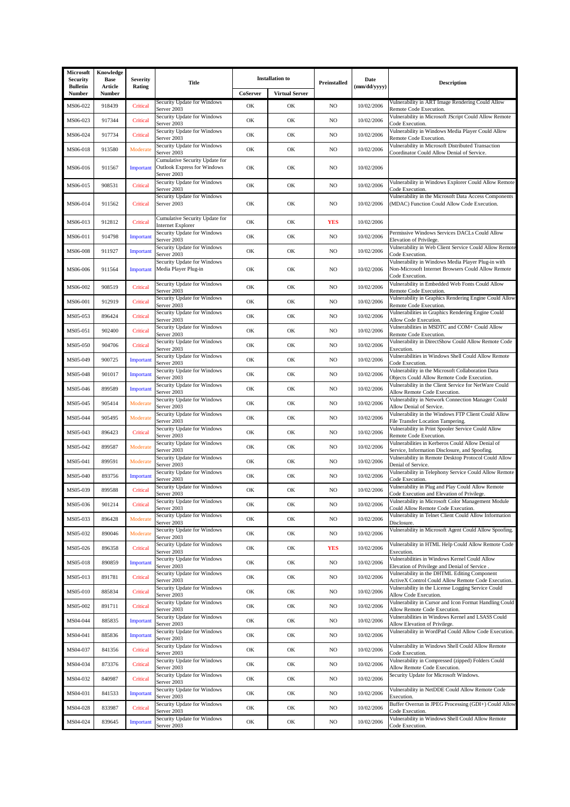| Microsoft<br>Security     | Knowledge<br><b>Base</b> | <b>Severity</b> | <b>Title</b>                                                                        |          | <b>Installation</b> to | Preinstalled | Date         | <b>Description</b>                                                                                                          |
|---------------------------|--------------------------|-----------------|-------------------------------------------------------------------------------------|----------|------------------------|--------------|--------------|-----------------------------------------------------------------------------------------------------------------------------|
| <b>Bulletin</b><br>Number | Article<br>Number        | Rating          |                                                                                     | CoServer | <b>Virtual Server</b>  |              | (mm/dd/yyyy) |                                                                                                                             |
| MS06-022                  | 918439                   | Critical        | Security Update for Windows<br>Server 2003                                          | OK       | OK                     | NO           | 10/02/2006   | Vulnerability in ART Image Rendering Could Allow<br>Remote Code Execution.                                                  |
| MS06-023                  | 917344                   | Critical        | Security Update for Windows<br>Server 2003                                          | OK       | OK                     | NO           | 10/02/2006   | Vulnerability in Microsoft JScript Could Allow Remote<br>Code Execution.                                                    |
| MS06-024                  | 917734                   | Critical        | Security Update for Windows<br>Server 2003                                          | OK       | OK                     | NO           | 10/02/2006   | Vulnerability in Windows Media Player Could Allow<br>Remote Code Execution.                                                 |
| MS06-018                  | 913580                   | Moderate        | Security Update for Windows<br>Server 2003                                          | OK       | OK                     | NO           | 10/02/2006   | Vulnerability in Microsoft Distributed Transaction<br>Coordinator Could Allow Denial of Service.                            |
| MS06-016                  | 911567                   | Important       | Cumulative Security Update for<br><b>Outlook Express for Windows</b><br>Server 2003 | OK       | OK                     | NO           | 10/02/2006   |                                                                                                                             |
| MS06-015                  | 908531                   | Critical        | Security Update for Windows<br>Server 2003                                          | OK       | OK                     | NO.          | 10/02/2006   | Vulnerability in Windows Explorer Could Allow Remote<br>Code Execution.                                                     |
| MS06-014                  | 911562                   | Critical        | Security Update for Windows<br>Server 2003                                          | OK       | OK                     | NO           | 10/02/2006   | Vulnerability in the Microsoft Data Access Components<br>(MDAC) Function Could Allow Code Execution.                        |
| MS06-013                  | 912812                   | Critical        | Cumulative Security Update for<br><b>Internet Explorer</b>                          | OK       | OK                     | <b>YES</b>   | 10/02/2006   |                                                                                                                             |
| MS06-011                  | 914798                   | Important       | Security Update for Windows<br>Server 2003                                          | OK       | OK                     | NO           | 10/02/2006   | Permissive Windows Services DACLs Could Allow<br>Elevation of Privilege.                                                    |
| MS06-008                  | 911927                   | Important       | Security Update for Windows<br>Server 2003                                          | OK       | OK                     | NO           | 10/02/2006   | Vulnerability in Web Client Service Could Allow Remote<br>Code Execution.                                                   |
| MS06-006                  | 911564                   | Important       | Security Update for Windows<br>Media Player Plug-in                                 | OK       | OK                     | NO.          | 10/02/2006   | Vulnerability in Windows Media Player Plug-in with<br>Non-Microsoft Internet Browsers Could Allow Remote<br>Code Execution. |
| MS06-002                  | 908519                   | Critical        | Security Update for Windows<br>Server 2003                                          | OK       | OK                     | NO.          | 10/02/2006   | Vulnerability in Embedded Web Fonts Could Allow<br>Remote Code Execution.                                                   |
| MS06-001                  | 912919                   | Critical        | Security Update for Windows<br>Server 2003                                          | OK       | OK                     | NO           | 10/02/2006   | Vulnerability in Graphics Rendering Engine Could Allow<br>Remote Code Execution.                                            |
| MS05-053                  | 896424                   | Critical        | Security Update for Windows<br>Server 2003                                          | OK       | OK                     | NO           | 10/02/2006   | Vulnerabilities in Graphics Rendering Engine Could<br>Allow Code Execution.                                                 |
| MS05-051                  | 902400                   | Critical        | Security Update for Windows<br>Server 2003                                          | OK       | OK                     | NO           | 10/02/2006   | Vulnerabilities in MSDTC and COM+ Could Allow<br>Remote Code Execution.                                                     |
| MS05-050                  | 904706                   | Critical        | Security Update for Windows<br>Server 2003                                          | OK       | OK                     | NO.          | 10/02/2006   | Vulnerability in DirectShow Could Allow Remote Code<br>Execution.                                                           |
| MS05-049                  | 900725                   | Important       | Security Update for Windows<br>Server 2003                                          | OK       | OK                     | NO           | 10/02/2006   | Vulnerabilities in Windows Shell Could Allow Remote<br>Code Execution.                                                      |
| MS05-048                  | 901017                   | Important       | Security Update for Windows<br>Server 2003                                          | OK       | OK                     | NO           | 10/02/2006   | Vulnerability in the Microsoft Collaboration Data<br>Objects Could Allow Remote Code Execution.                             |
| MS05-046                  | 899589                   | Important       | Security Update for Windows<br>Server 2003                                          | OK       | OK                     | NO           | 10/02/2006   | Vulnerability in the Client Service for NetWare Could<br>Allow Remote Code Execution.                                       |
| MS05-045                  | 905414                   | Moderate        | Security Update for Windows<br>Server 2003                                          | OK       | OK                     | NO           | 10/02/2006   | Vulnerability in Network Connection Manager Could<br>Allow Denial of Service.                                               |
| MS05-044                  | 905495                   | Moderate        | Security Update for Windows<br>Server 2003                                          | OK       | OK                     | NO           | 10/02/2006   | Vulnerability in the Windows FTP Client Could Allow<br>File Transfer Location Tampering.                                    |
| MS05-043                  | 896423                   | Critical        | Security Update for Windows<br>Server 2003                                          | OK       | OK                     | NO           | 10/02/2006   | Vulnerability in Print Spooler Service Could Allow<br>Remote Code Execution.                                                |
| MS05-042                  | 899587                   | Moderate        | Security Update for Windows<br>Server 2003                                          | OK       | OK                     | NO.          | 10/02/2006   | Vulnerabilities in Kerberos Could Allow Denial of<br>Service, Information Disclosure, and Spoofing.                         |
| MS05-041                  | 899591                   | Moderate        | Security Update for Windows<br>Server 2003                                          | OK       | OK                     | NO           | 10/02/2006   | Vulnerability in Remote Desktop Protocol Could Allow<br>Denial of Service.                                                  |
| MS05-040                  | 893756                   | Important       | Security Update for Windows<br>Server 2003                                          | OK       | OK                     | NO.          | 10/02/2006   | Vulnerability in Telephony Service Could Allow Remote<br>Code Execution.                                                    |
| MS05-039                  | 899588                   | Critical        | Security Update for Windows<br>Server 2003                                          | OK       | OK                     | NO           | 10/02/2006   | Vulnerability in Plug and Play Could Allow Remote<br>Code Execution and Elevation of Privilege.                             |
| MS05-036                  | 901214                   | Critical        | Security Update for Windows<br>Server 2003                                          | OK       | OK                     | NO           | 10/02/2006   | Vulnerability in Microsoft Color Management Module<br>Could Allow Remote Code Execution.                                    |
| MS05-033                  | 896428                   | Moderate        | Security Update for Windows<br>Server 2003                                          | OK       | OK                     | NO           | 10/02/2006   | Vulnerability in Telnet Client Could Allow Information<br>Disclosure.                                                       |
| MS05-032                  | 890046                   | Moderate        | Security Update for Windows<br>Server 2003                                          | OK       | OK                     | NO           | 10/02/2006   | Vulnerability in Microsoft Agent Could Allow Spoofing.                                                                      |
| MS05-026                  | 896358                   | Critical        | Security Update for Windows<br>Server 2003                                          | OK       | OK                     | <b>YES</b>   | 10/02/2006   | Vulnerability in HTML Help Could Allow Remote Code<br>Execution.                                                            |
| MS05-018                  | 890859                   | Important       | Security Update for Windows<br>Server 2003                                          | OK       | OK                     | NO           | 10/02/2006   | Vulnerabilities in Windows Kernel Could Allow<br>Elevation of Privilege and Denial of Service.                              |
| MS05-013                  | 891781                   | Critical        | Security Update for Windows<br>Server 2003                                          | OK       | OK                     | NO           | 10/02/2006   | Vulnerability in the DHTML Editing Component<br>ActiveX Control Could Allow Remote Code Execution.                          |
| MS05-010                  | 885834                   | Critical        | Security Update for Windows<br>Server 2003                                          | OK       | OK                     | NO           | 10/02/2006   | Vulnerability in the License Logging Service Could<br>Allow Code Execution.                                                 |
| MS05-002                  | 891711                   | Critical        | Security Update for Windows<br>Server 2003                                          | OK       | OK                     | NO           | 10/02/2006   | Vulnerability in Cursor and Icon Format Handling Could<br>Allow Remote Code Execution.                                      |
| MS04-044                  | 885835                   | Important       | Security Update for Windows<br>Server 2003                                          | OK       | OK                     | NO           | 10/02/2006   | Vulnerabilities in Windows Kernel and LSASS Could<br>Allow Elevation of Privilege.                                          |
| MS04-041                  | 885836                   | Important       | Security Update for Windows<br>Server 2003                                          | OK       | OK                     | NO           | 10/02/2006   | Vulnerability in WordPad Could Allow Code Execution.                                                                        |
| MS04-037                  | 841356                   | Critical        | Security Update for Windows<br>Server 2003                                          | OK       | OK                     | NO           | 10/02/2006   | Vulnerability in Windows Shell Could Allow Remote<br>Code Execution.                                                        |
| MS04-034                  | 873376                   | Critical        | Security Update for Windows<br>Server 2003                                          | OK       | OK                     | NO           | 10/02/2006   | Vulnerability in Compressed (zipped) Folders Could<br>Allow Remote Code Execution.                                          |
| MS04-032                  | 840987                   | Critical        | Security Update for Windows<br>Server 2003                                          | OK       | OK                     | NO           | 10/02/2006   | Security Update for Microsoft Windows.                                                                                      |
| MS04-031                  | 841533                   | Important       | Security Update for Windows<br>Server 2003                                          | OK       | OK                     | NO.          | 10/02/2006   | Vulnerability in NetDDE Could Allow Remote Code<br>Execution.                                                               |
| MS04-028                  | 833987                   | Critical        | Security Update for Windows<br>Server 2003                                          | OK       | OK                     | NO.          | 10/02/2006   | Buffer Overrun in JPEG Processing (GDI+) Could Allow<br>Code Execution.                                                     |
| MS04-024                  | 839645                   | Important       | Security Update for Windows<br>Server 2003                                          | OK       | OK                     | NO           | 10/02/2006   | Vulnerability in Windows Shell Could Allow Remote<br>Code Execution.                                                        |